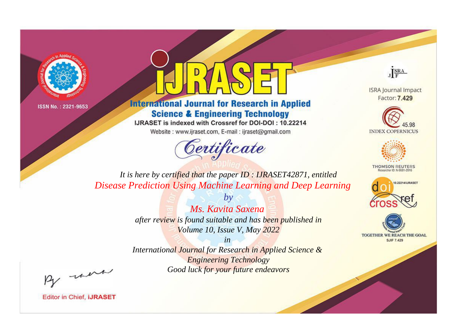



**International Journal for Research in Applied Science & Engineering Technology** 

IJRASET is indexed with Crossref for DOI-DOI: 10.22214

Website: www.ijraset.com, E-mail: ijraset@gmail.com



JERA

**ISRA Journal Impact** Factor: 7.429





**THOMSON REUTERS** 



TOGETHER WE REACH THE GOAL **SJIF 7.429** 

It is here by certified that the paper ID: IJRASET42871, entitled **Disease Prediction Using Machine Learning and Deep Learning** 

> Ms. Kavita Saxena after review is found suitable and has been published in Volume 10, Issue V, May 2022

 $b\nu$ 

 $in$ International Journal for Research in Applied Science & **Engineering Technology** Good luck for your future endeavors

By morn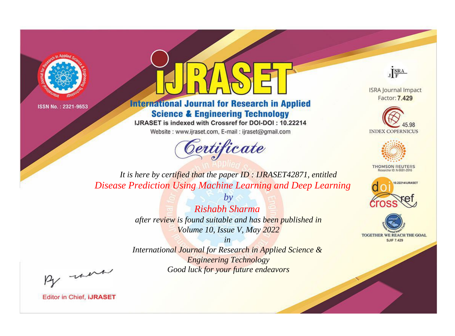



**International Journal for Research in Applied Science & Engineering Technology** 

IJRASET is indexed with Crossref for DOI-DOI: 10.22214

Website: www.ijraset.com, E-mail: ijraset@gmail.com



JERA

**ISRA Journal Impact** Factor: 7.429





**THOMSON REUTERS** 



TOGETHER WE REACH THE GOAL **SJIF 7.429** 

*It is here by certified that the paper ID : IJRASET42871, entitled Disease Prediction Using Machine Learning and Deep Learning*

> *by Rishabh Sharma after review is found suitable and has been published in Volume 10, Issue V, May 2022*

> > *in*

*International Journal for Research in Applied Science & Engineering Technology Good luck for your future endeavors*

By morn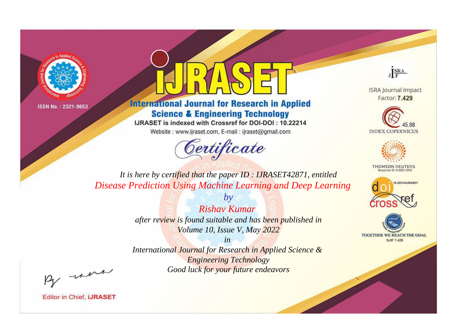



**International Journal for Research in Applied Science & Engineering Technology** 

IJRASET is indexed with Crossref for DOI-DOI: 10.22214

Website: www.ijraset.com, E-mail: ijraset@gmail.com



JERA

**ISRA Journal Impact** Factor: 7.429





**THOMSON REUTERS** 



TOGETHER WE REACH THE GOAL **SJIF 7.429** 

*It is here by certified that the paper ID : IJRASET42871, entitled Disease Prediction Using Machine Learning and Deep Learning*

> *Rishav Kumar after review is found suitable and has been published in Volume 10, Issue V, May 2022*

*by*

*in* 

*International Journal for Research in Applied Science & Engineering Technology Good luck for your future endeavors*

By morn